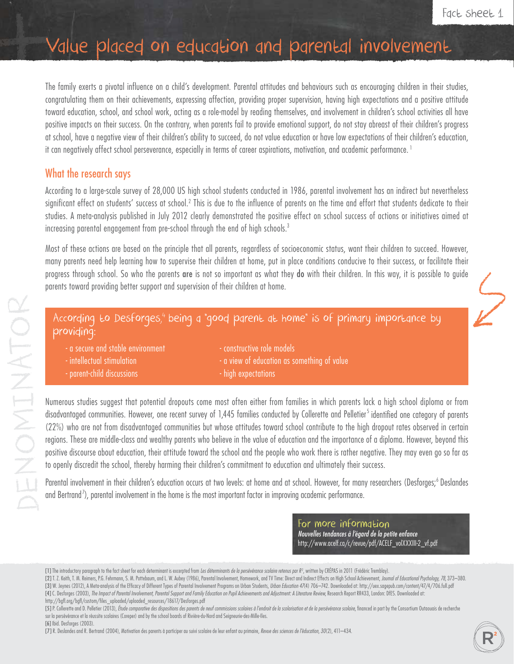# Value placed on education and parental involvement

The family exerts a pivotal influence on a child's development. Parental attitudes and behaviours such as encouraging children in their studies, congratulating them on their achievements, expressing affection, providing proper supervision, having high expectations and a positive attitude toward education, school, and school work, acting as a role-model by reading themselves, and involvement in children's school activities all have positive impacts on their success. On the contrary, when parents fail to provide emotional support, do not stay abreast of their children's progress at school, have a negative view of their children's ability to succeed, do not value education or have low expectations of their children's education, it can negatively affect school perseverance, especially in terms of career aspirations, motivation, and academic performance.<sup>1</sup>

# What the research says

According to a large-scale survey of 28,000 US high school students conducted in 1986, parental involvement has an indirect but nevertheless significant effect on students' success at school.<sup>2</sup> This is due to the influence of parents on the time and effort that students dedicate to their studies. A meta-analysis published in July 2012 clearly demonstrated the positive effect on school success of actions or initiatives aimed at increasing parental engagement from pre-school through the end of high schools.3

Most of these actions are based on the principle that all parents, regardless of socioeconomic status, want their children to succeed. However, many parents need help learning how to supervise their children at home, put in place conditions conducive to their success, or facilitate their progress through school. So who the parents are is not so important as what they do with their children. In this way, it is possible to guide parents toward providing better support and supervision of their children at home.

## According to Desforges,<sup>4</sup> being a "good parent at home" is of primary importance by providing:

| - a secure and stable environment | constructive role models                      |
|-----------------------------------|-----------------------------------------------|
| - intellectual stimulation        | I - a view of education as something of value |
| - parent-child discussions        | - high expectations                           |

Numerous studies suggest that potential dropouts come most often either from families in which parents lack a high school diploma or from disadvantaged communities. However, one recent survey of 1,445 families conducted by Collerette and Pelletier<sup>5</sup> identified one category of parents (22%) who are not from disadvantaged communities but whose attitudes toward school contribute to the high dropout rates observed in certain regions. These are middle-class and wealthy parents who believe in the value of education and the importance of a diploma. However, beyond this positive discourse about education, their attitude toward the school and the people who work there is rather negative. They may even go so far as to openly discredit the school, thereby harming their children's commitment to education and ultimately their success.

Parental involvement in their children's education occurs at two levels: at home and at school. However, for many researchers (Desforges;<sup>6</sup> Deslandes and Bertrand<sup>7</sup>), parental involvement in the home is the most important factor in improving academic performance.

> For more information *Nouvelles tendances à l'égard de la petite enfance*  http://www.acelf.ca/c/revue/pdf/ACELF\_volXXXIII-2\_vf.pdf

<sup>[1]</sup> The introductory paragraph to the fact sheet for each determinant is excerpted from *Les déterminants de la persévérance scolaire retenus par R <sup>2</sup>* , written by CRÉPAS in 2011 (Frédéric Tremblay).

<sup>[2]</sup> T. Z. Keith, T. M. Reimers, P.G. Fehrmann, S. M. Pottebaum, and L. W. Aubey (1986), Parental Involvement, Homework, and TV Time: Direct and Indirect Effects on High School Achievement. Journal of Educational Psychology [3] W. Jeynes (2012), A Meta-analysis of the Efficacy of Different Types of Parental Involvement Programs on Urban Students, Urban Education 47(4) 706-742. Downloaded at: http://uex.sagepub.com/content/47/4/706.full.pdf [4] C. Desforges (2003), *The Impact of Parental Involvement, Parental Support and Family Education on Pupil Achievements and Adjustment: A Literature Review*, Research Report RR433, London: DfES. Downloaded at: http://bgfl.org/bgfl/custom/files\_uploaded/uploaded\_resources/18617/Desforges.pdf

<sup>[5]</sup> P. Collerette and D. Pelletier (2013), Étude comparative des dispositions des parents de neuf commissions scolaires à l'endroit de la scolarisation et de la persévérance scolaire, financed in part by the Consortium Out sur la persévérance et la réussite scolaires (Coreper) and by the school boards of Rivière-du-Nord and Seigneurie-des-Mille-Iles.

<sup>[6]</sup> Ibid. Desforges (2003). [7] R. Deslandes and R. Bertrand (2004), Motivation des parents à participer au suivi scolaire de leur enfant au primaire, *Revue des sciences de l'éducation, 30*(2), 411–434.